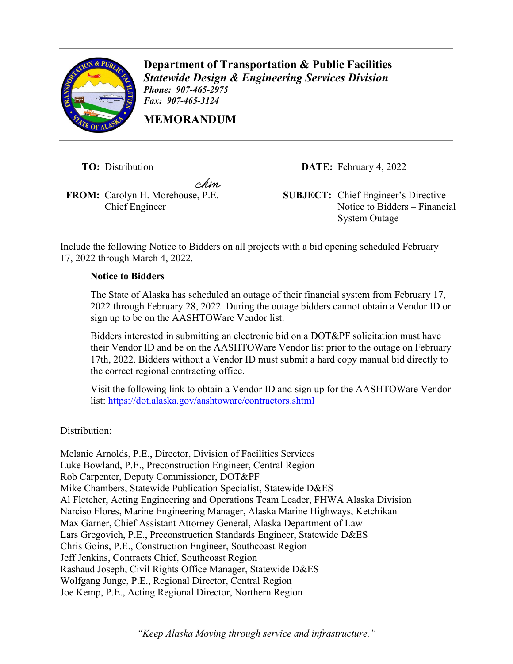

**Department of Transportation & Public Facilities** *Statewide Design & Engineering Services Division Phone: 907-465-2975 Fax: 907-465-3124* 

**MEMORANDUM**

chsn.

Chief Engineer

**TO:** Distribution **DATE:** February 4, 2022

**FROM:** Carolyn H. Morehouse, P.E. **SUBJECT:** Chief Engineer's Directive – Notice to Bidders – Financial System Outage

Include the following Notice to Bidders on all projects with a bid opening scheduled February 17, 2022 through March 4, 2022.

## **Notice to Bidders**

The State of Alaska has scheduled an outage of their financial system from February 17, 2022 through February 28, 2022. During the outage bidders cannot obtain a Vendor ID or sign up to be on the AASHTOWare Vendor list.

Bidders interested in submitting an electronic bid on a DOT&PF solicitation must have their Vendor ID and be on the AASHTOWare Vendor list prior to the outage on February 17th, 2022. Bidders without a Vendor ID must submit a hard copy manual bid directly to the correct regional contracting office.

Visit the following link to obtain a Vendor ID and sign up for the AASHTOWare Vendor list:<https://dot.alaska.gov/aashtoware/contractors.shtml>

Distribution:

Melanie Arnolds, P.E., Director, Division of Facilities Services Luke Bowland, P.E., Preconstruction Engineer, Central Region Rob Carpenter, Deputy Commissioner, DOT&PF Mike Chambers, Statewide Publication Specialist, Statewide D&ES Al Fletcher, Acting Engineering and Operations Team Leader, FHWA Alaska Division Narciso Flores, Marine Engineering Manager, Alaska Marine Highways, Ketchikan Max Garner, Chief Assistant Attorney General, Alaska Department of Law Lars Gregovich, P.E., Preconstruction Standards Engineer, Statewide D&ES Chris Goins, P.E., Construction Engineer, Southcoast Region Jeff Jenkins, Contracts Chief, Southcoast Region Rashaud Joseph, Civil Rights Office Manager, Statewide D&ES Wolfgang Junge, P.E., Regional Director, Central Region Joe Kemp, P.E., Acting Regional Director, Northern Region